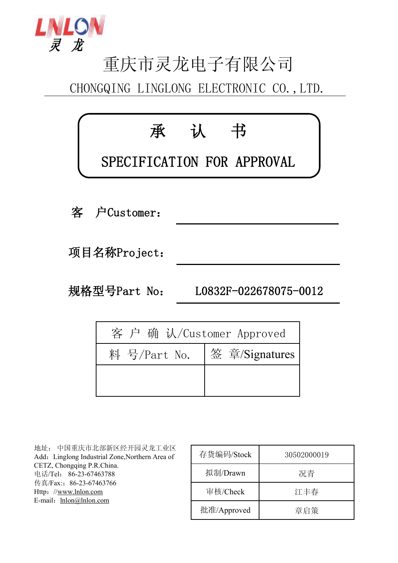

# 重庆市灵龙电子有限公司

CHONGQING LINGLONG ELECTRONIC CO.,LTD.



| 客 户 确 认/Customer Approved |
|---------------------------|
| 签 章/Signatures            |
|                           |
|                           |

地址: 中国重庆市北部新区经开园灵龙工业区 Add: Linglong Industrial Zone,Northern Area of CETZ, Chongqing P.R.China. 电话/Tel: 86-23-67463788 传真/Fax::86-23-67463766 Http://[www.lnlon.com](http://www.lnlon.com) E-mail: [lnlon@lnlon.com](mailto:lnlon@lnlon.com)

| 存货编码/Stock  | 30502000019 |
|-------------|-------------|
| 拟制/Drawn    | 况青          |
| 审核/Check    | 江丰春         |
| 批准/Approved | 章启策         |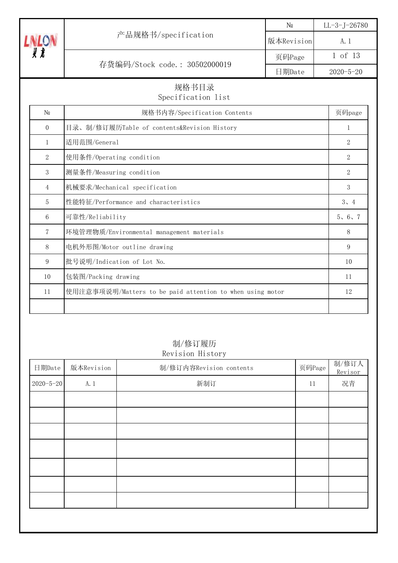|                |                                                           | $\rm No$   | $LL - 3 - J - 26780$ |
|----------------|-----------------------------------------------------------|------------|----------------------|
|                | 产品规格书/specification                                       | 版本Revision | A. 1                 |
|                |                                                           | 页码Page     | 1 of 13              |
|                | 存货编码/Stock code.: 30502000019                             | 日期Date     | $2020 - 5 - 20$      |
|                | 规格书目录<br>Specification list                               |            |                      |
| N <sub>0</sub> | 规格书内容/Specification Contents                              |            | 页码page               |
| $\overline{0}$ | 目录、制/修订履历Table of contents&Revision History               |            | $\mathbf{1}$         |
| $\mathbf{1}$   | 适用范围/General                                              |            | $\overline{2}$       |
| $\sqrt{2}$     | 使用条件/Operating condition                                  |            | $\overline{2}$       |
| 3              | 测量条件/Measuring condition                                  |            | $\overline{2}$       |
| $\overline{4}$ | 机械要求/Mechanical specification                             |            | 3                    |
| 5              | 性能特征/Performance and characteristics                      |            | 3, 4                 |
| 6              | 可靠性/Reliability                                           |            | 5, 6, 7              |
| $\overline{7}$ | 环境管理物质/Environmental management materials                 |            | 8                    |
| 8              | 电机外形图/Motor outline drawing                               |            | 9                    |
| 9              | 批号说明/Indication of Lot No.                                |            | 10                   |
| 10             | 包装图/Packing drawing                                       |            | 11                   |
| 11             | 使用注意事项说明/Matters to be paid attention to when using motor |            | 12                   |
|                |                                                           |            |                      |

# 制/修订履历 Revision History

| 日期Date          | 版本Revision | 制/修订内容Revision contents | 页码Page | 制/修订人<br>Revisor |
|-----------------|------------|-------------------------|--------|------------------|
| $2020 - 5 - 20$ | A. 1       | 新制订                     | 11     | 况青               |
|                 |            |                         |        |                  |
|                 |            |                         |        |                  |
|                 |            |                         |        |                  |
|                 |            |                         |        |                  |
|                 |            |                         |        |                  |
|                 |            |                         |        |                  |
|                 |            |                         |        |                  |
|                 |            |                         |        |                  |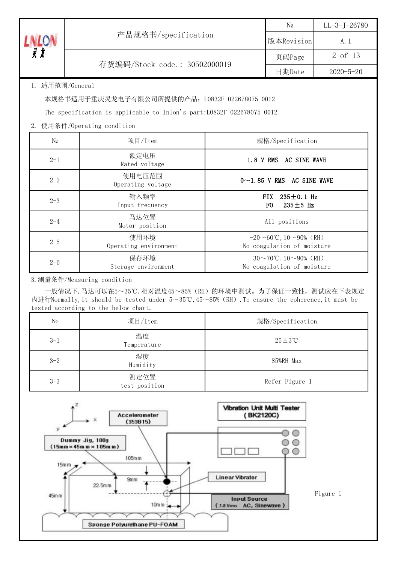|                 |                                                                        |                                                             | N <sub>0</sub>                                                     | $LL-3$ -J-26780 |  |  |  |
|-----------------|------------------------------------------------------------------------|-------------------------------------------------------------|--------------------------------------------------------------------|-----------------|--|--|--|
| <b>LNLON</b>    | 产品规格书/specification                                                    | 版本Revision                                                  | A. 1                                                               |                 |  |  |  |
|                 |                                                                        | 页码Page                                                      | 2 of 13                                                            |                 |  |  |  |
|                 | 存货编码/Stock code.: 30502000019                                          |                                                             | 日期Date                                                             | $2020 - 5 - 20$ |  |  |  |
| 1. 适用范围/General |                                                                        |                                                             |                                                                    |                 |  |  |  |
|                 | 本规格书适用于重庆灵龙电子有限公司所提供的产品: L0832F-022678075-0012                         |                                                             |                                                                    |                 |  |  |  |
|                 | The specification is applicable to lnlon's part: L0832F-022678075-0012 |                                                             |                                                                    |                 |  |  |  |
|                 | 2. 使用条件/Operating condition                                            |                                                             |                                                                    |                 |  |  |  |
| N <sub>0</sub>  | 项目/Item                                                                |                                                             | 规格/Specification                                                   |                 |  |  |  |
| $2 - 1$         | 额定电压<br>Rated voltage                                                  |                                                             | 1.8 V RMS AC SINE WAVE                                             |                 |  |  |  |
| $2 - 2$         | 使用电压范围<br>Operating voltage                                            |                                                             | $0 \sim 1.85$ V RMS AC SINE WAVE                                   |                 |  |  |  |
| $2 - 3$         | 输入频率<br>Input frequency                                                |                                                             | <b>FIX</b><br>$235 \pm 0.1$ Hz<br>F <sub>0</sub><br>$235 \pm 5$ Hz |                 |  |  |  |
| $2 - 4$         | 马达位置<br>All positions<br>Motor position                                |                                                             |                                                                    |                 |  |  |  |
| $2 - 5$         | 使用环境<br>Operating environment                                          | $-20 \sim 60$ °C, 10∼90% (RH)<br>No coagulation of moisture |                                                                    |                 |  |  |  |
| $2 - 6$         | 保存环境<br>Storage environment                                            |                                                             | $-30 \sim 70$ °C, 10∼90% (RH)<br>No coagulation of moisture        |                 |  |  |  |

3.测量条件/Measuring condition

 一般情况下,马达可以在5~35℃,相对温度45~85%(RH)的环境中测试。为了保证一致性,测试应在下表规定 内进行Normally,it should be tested under 5~35℃,45~85%(RH).To ensure the coherence,it must be tested according to the below chart.

| N <sub>0</sub> | 项目/Item               | 规格/Specification |
|----------------|-----------------------|------------------|
| $3 - 1$        | 温度<br>Temperature     | $25 \pm 3$ °C    |
| $3 - 2$        | 湿度<br>Humidity        | 85%RH Max        |
| $3 - 3$        | 测定位置<br>test position | Refer Figure 1   |

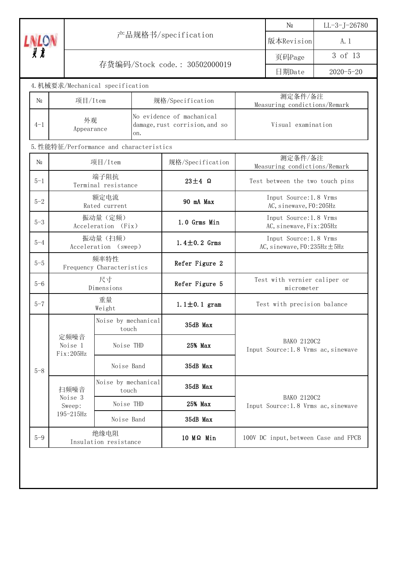|                |                              |                                         |                     |                                                             |                 | $N\underline{\textbf{0}}$                                  | $LL-3-J-26780$ |  |
|----------------|------------------------------|-----------------------------------------|---------------------|-------------------------------------------------------------|-----------------|------------------------------------------------------------|----------------|--|
| <b>LNLON</b>   |                              |                                         | 产品规格书/specification | 版本Revision                                                  | A. 1            |                                                            |                |  |
|                |                              |                                         |                     | 页码Page                                                      | 3 of 13         |                                                            |                |  |
|                |                              | 存货编码/Stock code.: 30502000019           |                     | 日期Date                                                      | $2020 - 5 - 20$ |                                                            |                |  |
|                |                              | 4. 机械要求/Mechanical specification        |                     |                                                             |                 |                                                            |                |  |
| N <sub>0</sub> | 项目/Item                      |                                         |                     | 规格/Specification                                            |                 | 测定条件/备注<br>Measuring condictions/Remark                    |                |  |
| $4 - 1$        | 外观<br>Appearance             |                                         | on.                 | No evidence of machanical<br>damage, rust corrision, and so |                 | Visual examination                                         |                |  |
|                |                              | 5. 性能特征/Performance and characteristics |                     |                                                             |                 |                                                            |                |  |
| N <sub>0</sub> |                              | 项目/Item                                 |                     | 规格/Specification                                            |                 | 测定条件/备注<br>Measuring condictions/Remark                    |                |  |
| $5 - 1$        |                              | 端子阻抗<br>Terminal resistance             |                     | $23 \pm 4$ Ω                                                |                 | Test between the two touch pins                            |                |  |
| $5 - 2$        |                              | 额定电流<br>Rated current                   |                     | 90 mA Max                                                   |                 | Input Source: 1.8 Vrms<br>AC, sinewave, F0:205Hz           |                |  |
| $5 - 3$        |                              | 振动量 (定频)<br>Acceleration (Fix)          |                     | 1.0 Grms Min                                                |                 | Input Source: 1.8 Vrms<br>AC, sinewave, Fix: 205Hz         |                |  |
| $5 - 4$        |                              | 振动量(扫频)<br>Acceleration (sweep)         |                     | 1.4 $\pm$ 0.2 Grms                                          |                 | Input Source: 1.8 Vrms<br>AC, sinewave, $F0:235Hz \pm 5Hz$ |                |  |
| $5 - 5$        |                              | 频率特性<br>Frequency Characteristics       |                     | Refer Figure 2                                              |                 |                                                            |                |  |
| $5 - 6$        |                              | 尺寸<br>Dimensions                        |                     | Refer Figure 5                                              |                 | Test with vernier caliper or<br>micrometer                 |                |  |
| $5 - 7$        |                              | 重量<br>Weight                            |                     | 1.1 $\pm$ 0.1 gram                                          |                 | Test with precision balance                                |                |  |
|                |                              | Noise by mechanical<br>touch            |                     | 35dB Max                                                    |                 |                                                            |                |  |
|                | 定频噪音<br>Noise 1<br>Fix:205Hz | Noise THD                               |                     | 25% Max                                                     |                 | BAKO 2120C2<br>Input Source: 1.8 Vrms ac, sinewave         |                |  |
| $5 - 8$        |                              | Noise Band                              |                     | 35dB Max                                                    |                 |                                                            |                |  |
|                | 扫频噪音                         | Noise by mechanical<br>touch            |                     | 35dB Max                                                    |                 |                                                            |                |  |
|                | Noise 3<br>Sweep:            | Noise THD                               |                     | 25% Max                                                     |                 | BAKO 2120C2<br>Input Source: 1.8 Vrms ac, sinewave         |                |  |
|                | $195 - 215$ Hz               | Noise Band                              |                     | 35dB Max                                                    |                 |                                                            |                |  |
| $5 - 9$        |                              | 绝缘电阻<br>Insulation resistance           |                     | $10 M\Omega$ Min                                            |                 | 100V DC input, between Case and FPCB                       |                |  |
|                |                              |                                         |                     |                                                             |                 |                                                            |                |  |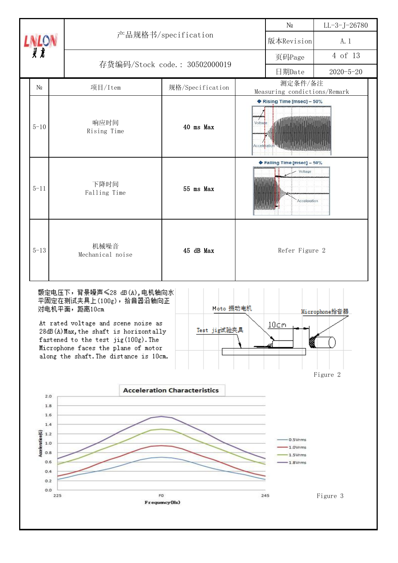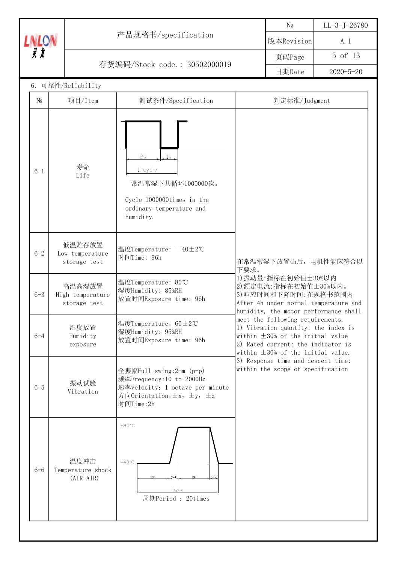|              |                                            |                                                                                                                                  |                                                                                                                    | N <sub>0</sub>                                                                                                                                            | $LL - 3 - J - 26780$  |
|--------------|--------------------------------------------|----------------------------------------------------------------------------------------------------------------------------------|--------------------------------------------------------------------------------------------------------------------|-----------------------------------------------------------------------------------------------------------------------------------------------------------|-----------------------|
| <b>LNLON</b> |                                            | 产品规格书/specification                                                                                                              |                                                                                                                    | 版本Revision                                                                                                                                                | A. 1                  |
|              |                                            | 存货编码/Stock code.: 30502000019                                                                                                    |                                                                                                                    | 页码Page                                                                                                                                                    | 5 of 13               |
|              |                                            |                                                                                                                                  |                                                                                                                    | 日期Date                                                                                                                                                    | $2020 - 5 - 20$       |
|              | 6. 可靠性/Reliability                         |                                                                                                                                  |                                                                                                                    |                                                                                                                                                           |                       |
| $N_{2}$      | 项目/Item                                    | 测试条件/Specification                                                                                                               |                                                                                                                    | 判定标准/Judgment                                                                                                                                             |                       |
| $6 - 1$      | 寿命<br>Life                                 | 2s<br>15<br>1 cycle<br>常温常湿下共循环1000000次。<br>Cycle 1000000times in the<br>ordinary temperature and<br>humidity.                   |                                                                                                                    |                                                                                                                                                           |                       |
| $6 - 2$      | 低温贮存放置<br>Low temperature<br>storage test  | 温度Temperature: -40±2℃<br>时间Time: 96h                                                                                             | 下要求。                                                                                                               |                                                                                                                                                           | 在常温常湿下放置4h后, 电机性能应符合以 |
| $6 - 3$      | 高温高湿放置<br>High temperature<br>storage test | 温度Temperature: 80℃<br>湿度Humidity: 85%RH<br>放置时间Exposure time: 96h                                                                |                                                                                                                    | 1) 振动量: 指标在初始值±30%以内<br>2) 额定电流: 指标在初始值±30%以内。<br>3) 响应时间和下降时间: 在规格书范围内<br>After 4h under normal temperature and<br>humidity, the motor performance shall |                       |
| $6 - 4$      | 湿度放置<br>Humidity<br>exposure               | 温度Temperature: 60±2℃<br>湿度Humidity: 95%RH<br>放置时间Exposure time: 96h                                                              |                                                                                                                    | meet the following requirements.<br>1) Vibration quantity: the index is<br>within $\pm 30\%$ of the initial value<br>2) Rated current: the indicator is   |                       |
| $6 - 5$      | 振动试验<br>Vibration                          | 全振幅Full swing:2mm (p-p)<br>频率Frequency:10 to 2000Hz<br>速率velocity: 1 octave per minute<br>方向Orientation: ±x, ±y, ±z<br>时间Time:2h | within $\pm 30\%$ of the initial value.<br>3) Response time and descent time:<br>within the scope of specification |                                                                                                                                                           |                       |
| $6 - 6$      | 温度冲击<br>Temperature shock<br>$(AIR-AIR)$   | $+85^{\circ}$ C<br>$-40^{\circ}$ C<br>2h<br>loycle<br>周期Period: 20times                                                          |                                                                                                                    |                                                                                                                                                           |                       |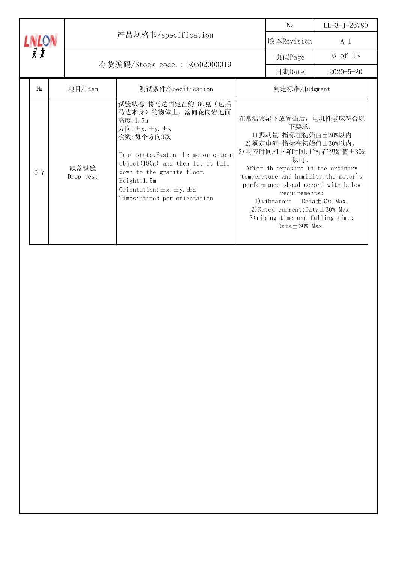|                               |  |                   |                                                                                                                                                                                                                                                                                         |            | $\mathop{\rm N}\nolimits_{\! \varrho}$                                                                                                                                                                                                                                                           | $LL - 3 - J - 26780$                                                                       |  |
|-------------------------------|--|-------------------|-----------------------------------------------------------------------------------------------------------------------------------------------------------------------------------------------------------------------------------------------------------------------------------------|------------|--------------------------------------------------------------------------------------------------------------------------------------------------------------------------------------------------------------------------------------------------------------------------------------------------|--------------------------------------------------------------------------------------------|--|
| <b>LIATOV</b>                 |  |                   | 产品规格书/specification                                                                                                                                                                                                                                                                     | 版本Revision | A. 1                                                                                                                                                                                                                                                                                             |                                                                                            |  |
| 灵龙                            |  |                   |                                                                                                                                                                                                                                                                                         | 页码Page     | 6 of 13                                                                                                                                                                                                                                                                                          |                                                                                            |  |
| 存货编码/Stock code.: 30502000019 |  |                   |                                                                                                                                                                                                                                                                                         |            | 日期Date                                                                                                                                                                                                                                                                                           | $2020 - 5 - 20$                                                                            |  |
| No                            |  | 项目/Item           | 测试条件/Specification                                                                                                                                                                                                                                                                      |            | 判定标准/Judgment                                                                                                                                                                                                                                                                                    |                                                                                            |  |
| $6 - 7$                       |  | 跌落试验<br>Drop test | 试验状态:将马达固定在约180克(包括<br>马达本身)的物体上, 落向花岗岩地面<br>高度: 1.5m<br>方向: ±x. ±y. ±z<br>次数:每个方向3次<br>Test state: Fasten the motor onto a<br>object $(180g)$ and then let it fall<br>down to the granite floor.<br>Height:1.5m<br>Orientation: $\pm x. \pm y. \pm z$<br>Times: 3times per orientation |            | 下要求。<br>1) 振动量: 指标在初始值±30%以内<br>2) 额定电流: 指标在初始值±30%以内。<br>以内。<br>After 4h exposure in the ordinary<br>performance shoud accord with below<br>requirements:<br>1) vibrator: Data $\pm$ 30% Max.<br>2) Rated current: Data $\pm$ 30% Max.<br>3) rising time and falling time:<br>$Data + 30%$ Max. | 在常温常湿下放置4h后, 电机性能应符合以<br>3) 响应时间和下降时间: 指标在初始值±30%<br>temperature and humidity, the motor's |  |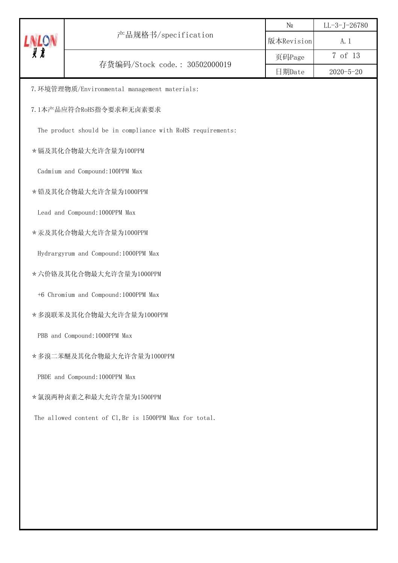|              |                                                             | N <sub>0</sub> | $LL - 3 - J - 26780$ |
|--------------|-------------------------------------------------------------|----------------|----------------------|
| <b>LNLON</b> | 产品规格书/specification                                         | 版本Revision     | A. 1                 |
|              | 存货编码/Stock code.: 30502000019                               | 页码Page         | 7 of 13              |
|              |                                                             | 日期Date         | $2020 - 5 - 20$      |
|              | 7. 环境管理物质/Environmental management materials:               |                |                      |
|              | 7.1本产品应符合RoHS指令要求和无卤素要求                                     |                |                      |
|              | The product should be in compliance with RoHS requirements: |                |                      |
|              | *镉及其化合物最大允许含量为100PPM                                        |                |                      |
|              | Cadmium and Compound: 100PPM Max                            |                |                      |
|              | * 铅及其化合物最大允许含量为1000PPM                                      |                |                      |
|              | Lead and Compound: 1000PPM Max                              |                |                      |
|              | *汞及其化合物最大允许含量为1000PPM                                       |                |                      |
|              | Hydrargyrum and Compound: 1000PPM Max                       |                |                      |
|              | * 六价铬及其化合物最大允许含量为1000PPM                                    |                |                      |
|              | +6 Chromium and Compound: 1000PPM Max                       |                |                      |
|              | *多溴联苯及其化合物最大允许含量为1000PPM                                    |                |                      |
|              | PBB and Compound: 1000PPM Max                               |                |                      |
|              | *多溴二苯醚及其化合物最大允许含量为1000PPM                                   |                |                      |
|              | PBDE and Compound: 1000PPM Max                              |                |                      |
|              | *氯溴两种卤素之和最大允许含量为1500PPM                                     |                |                      |
|              | The allowed content of C1, Br is 1500PPM Max for total.     |                |                      |
|              |                                                             |                |                      |
|              |                                                             |                |                      |
|              |                                                             |                |                      |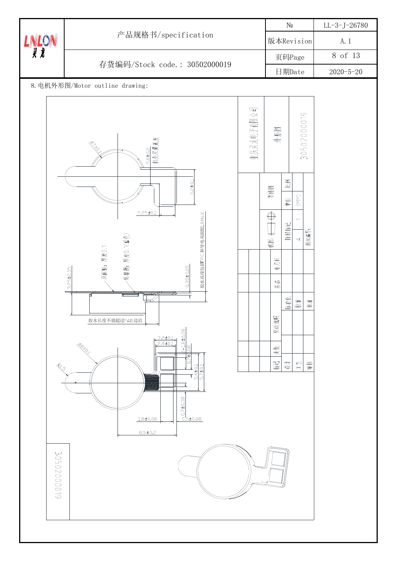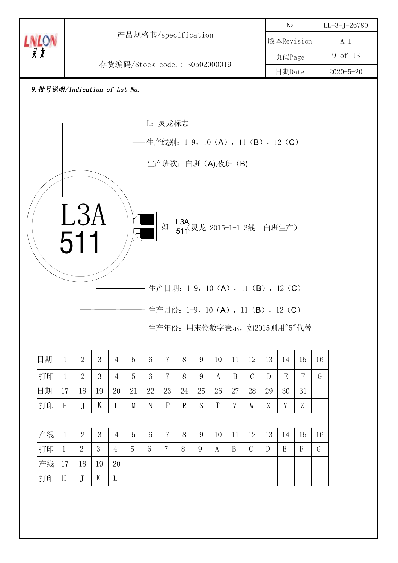|                                    |                               |                     |    |                |    |                 |                |                     |    |    |                  |               |               | $N\underline{\textbf{0}}$             |                 |    | $LL-3-J-26780$ |  |
|------------------------------------|-------------------------------|---------------------|----|----------------|----|-----------------|----------------|---------------------|----|----|------------------|---------------|---------------|---------------------------------------|-----------------|----|----------------|--|
| <b>LNLON</b>                       |                               | 产品规格书/specification |    |                |    |                 |                |                     |    |    | 版本Revision       |               |               | A. 1                                  |                 |    |                |  |
|                                    | 存货编码/Stock code.: 30502000019 |                     |    |                |    |                 |                |                     |    |    |                  | 页码Page        |               |                                       | 9 of 13         |    |                |  |
|                                    |                               |                     |    |                |    |                 |                |                     |    |    |                  | 日期Date        |               |                                       | $2020 - 5 - 20$ |    |                |  |
| 9. 批号说明/Indication of Lot No.      |                               |                     |    |                |    |                 |                |                     |    |    |                  |               |               |                                       |                 |    |                |  |
|                                    |                               |                     |    |                |    |                 |                |                     |    |    |                  |               |               |                                       |                 |    |                |  |
| L: 灵龙标志                            |                               |                     |    |                |    |                 |                |                     |    |    |                  |               |               |                                       |                 |    |                |  |
| -生产线别: 1-9, 10 (A), 11 (B), 12 (C) |                               |                     |    |                |    |                 |                |                     |    |    |                  |               |               |                                       |                 |    |                |  |
|                                    |                               |                     |    |                |    |                 |                |                     |    |    |                  |               |               |                                       |                 |    |                |  |
|                                    |                               |                     |    |                |    |                 |                | 生产班次: 白班 (A),夜班 (B) |    |    |                  |               |               |                                       |                 |    |                |  |
|                                    |                               |                     |    |                |    |                 |                |                     |    |    |                  |               |               |                                       |                 |    |                |  |
|                                    |                               |                     |    |                |    |                 |                |                     |    |    |                  |               |               |                                       |                 |    |                |  |
|                                    |                               | L3A                 |    |                |    |                 |                |                     |    |    |                  |               |               | 如: L3A<br>如: 511 灵龙 2015-1-1 3线 白班生产) |                 |    |                |  |
|                                    |                               |                     |    |                |    |                 |                |                     |    |    |                  |               |               |                                       |                 |    |                |  |
| 511                                |                               |                     |    |                |    |                 |                |                     |    |    |                  |               |               |                                       |                 |    |                |  |
|                                    |                               |                     |    |                |    |                 |                |                     |    |    |                  |               |               |                                       |                 |    |                |  |
|                                    |                               |                     |    |                |    |                 |                |                     |    |    |                  |               |               |                                       |                 |    |                |  |
|                                    |                               |                     |    |                |    |                 |                |                     |    |    |                  |               |               | 生产日期: 1-9, 10 (A), 11 (B), 12 (C)     |                 |    |                |  |
|                                    |                               |                     |    |                |    |                 |                |                     |    |    |                  |               |               |                                       |                 |    |                |  |
|                                    |                               |                     |    |                |    |                 |                |                     |    |    |                  |               |               | 生产月份: 1-9, 10 (A), 11 (B), 12 (C)     |                 |    |                |  |
|                                    |                               |                     |    |                |    |                 |                |                     |    |    |                  |               |               | 生产年份: 用末位数字表示, 如2015则用"5"代替           |                 |    |                |  |
| 日期                                 | $\mathbf{1}$                  | $\overline{2}$      | 3  | $\overline{4}$ | 5  | $6\phantom{1}6$ | $\overline{7}$ | 8                   | 9  | 10 | 11               | 12            | 13            | 14                                    | 15              | 16 |                |  |
| 打印                                 | $\mathbf{1}$                  | $\overline{2}$      | 3  | $\overline{4}$ | 5  | $6\phantom{.}6$ | $\overline{7}$ | 8                   | 9  | A  | $\boldsymbol{B}$ | $\mathcal{C}$ | ${\mathbb D}$ | E                                     | $\mathbf F$     | G  |                |  |
| 日期                                 | 17                            | 18                  | 19 | 20             | 21 | 22              | 23             | 24                  | 25 | 26 | 27               | 28            | 29            | 30                                    | 31              |    |                |  |
| 打印                                 | H                             | $\int$              | K  | L              | M  | N               | $\mathbf{P}$   | $\mathbb{R}$        | S  | T  | V                | W             | X             | Y                                     | Z               |    |                |  |
|                                    |                               |                     |    |                |    |                 |                |                     |    |    |                  |               |               |                                       |                 |    |                |  |
| 产线                                 | $\mathbf{1}$                  | $\overline{2}$      | 3  | $\overline{4}$ | 5  | $6\phantom{1}6$ | $\overline{7}$ | 8                   | 9  | 10 | 11               | 12            | 13            | 14                                    | 15              | 16 |                |  |
| 打印                                 | $\mathbf{1}$                  | $\overline{2}$      | 3  | $\overline{4}$ | 5  | $6\phantom{1}$  | $\overline{7}$ | 8                   | 9  | A  | B                | $\mathcal{C}$ | D             | E                                     | F               | G  |                |  |
| 产线                                 | 17                            | 18                  | 19 | 20             |    |                 |                |                     |    |    |                  |               |               |                                       |                 |    |                |  |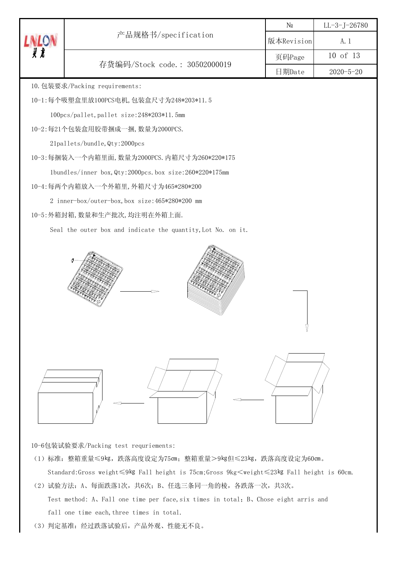|              |                                                              | N <sub>0</sub> | $LL-3-J-26780$  |
|--------------|--------------------------------------------------------------|----------------|-----------------|
| <b>LNLON</b> | 产品规格书/specification                                          | 版本Revision     | A. 1            |
|              |                                                              | 页码Page         | 10 of 13        |
|              | 存货编码/Stock code.: 30502000019                                | 日期Date         | $2020 - 5 - 20$ |
|              | 10. 包装要求/Packing requirements:                               |                |                 |
|              | 10-1:每个吸塑盒里放100PCS电机,包装盒尺寸为248*203*11.5                      |                |                 |
|              | 100pcs/pallet, pallet size:248*203*11.5mm                    |                |                 |
|              | 10-2:每21个包装盒用胶带捆成一捆, 数量为2000PCS.                             |                |                 |
|              | 21pallets/bundle, Qty:2000pcs                                |                |                 |
|              | 10-3: 每捆装入一个内箱里面, 数量为2000PCS. 内箱尺寸为260*220*175               |                |                 |
|              | 1bundles/inner box, Qty:2000pcs.box size:260*220*175mm       |                |                 |
|              | 10-4:每两个内箱放入一个外箱里, 外箱尺寸为465*280*200                          |                |                 |
|              | 2 inner-box/outer-box, box size:465*280*200 mm               |                |                 |
|              | 10-5: 外箱封箱, 数量和生产批次, 均注明在外箱上面.                               |                |                 |
|              | Seal the outer box and indicate the quantity, Lot No. on it. |                |                 |
|              |                                                              |                |                 |
|              |                                                              |                |                 |

10-6包装试验要求/Packing test requriements:

- (1)标准:整箱重量≤9㎏,跌落高度设定为75㎝;整箱重量>9㎏但≤23㎏,跌落高度设定为60㎝。 Standard:Gross weight≤9㎏ Fall height is 75cm;Gross 9kg<weight≤23㎏ Fall height is 60cm.
- (2)试验方法:A、每面跌落1次,共6次;B、任选三条同一角的棱,各跌落一次,共3次。 Test method: A, Fall one time per face, six times in total; B, Chose eight arris and fall one time each, three times in total.
- (3)判定基准:经过跌落试验后,产品外观、性能无不良。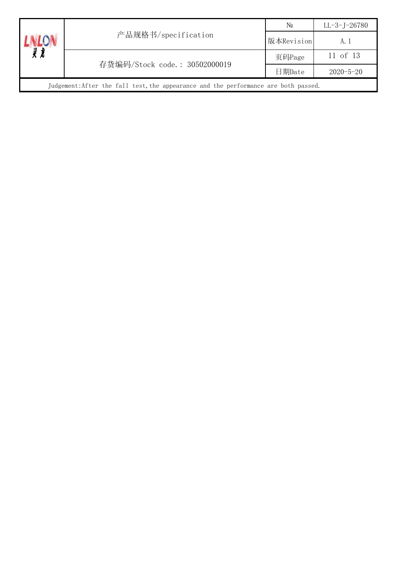|                                                                                     | 产品规格书/specification           | $\mathbb{N}^{\Omega}$ | $LL - 3 - J - 26780$ |  |  |
|-------------------------------------------------------------------------------------|-------------------------------|-----------------------|----------------------|--|--|
|                                                                                     |                               | 版本Revision            | A. 1                 |  |  |
|                                                                                     | 存货编码/Stock code.: 30502000019 | 页码Page                | 11 of 13             |  |  |
|                                                                                     |                               | 日期Date                | $2020 - 5 - 20$      |  |  |
| Judgement: After the fall test, the appearance and the performance are both passed. |                               |                       |                      |  |  |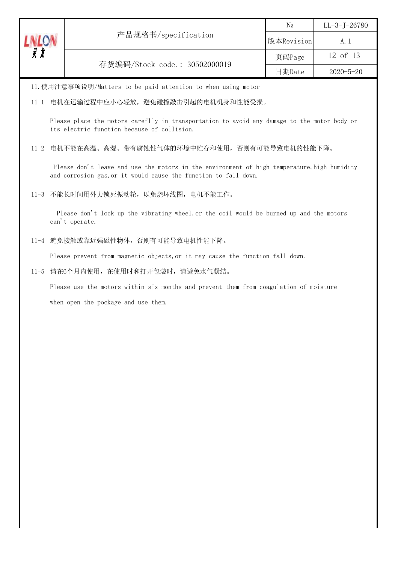| ⅉ | 产品规格书/specification           | N <sub>0</sub> | LL-3-J-26780    |
|---|-------------------------------|----------------|-----------------|
|   |                               | 版本Revision     | A. 1            |
|   | 存货编码/Stock code.: 30502000019 | 页码Page         | 12 of 13        |
|   |                               | 日期Date         | $2020 - 5 - 20$ |

11.使用注意事项说明/Matters to be paid attention to when using motor

#### 11-1 电机在运输过程中应小心轻放,避免碰撞敲击引起的电机机身和性能受损。

Please place the motors careflly in transportation to avoid any damage to the motor body or its electric function because of collision.

## 11-2 电机不能在高温、高湿、带有腐蚀性气体的环境中贮存和使用,否则有可能导致电机的性能下降。

Please don't leave and use the motors in the environment of high temperature, high humidity and corrosion gas,or it would cause the function to fall down.

#### 11-3 不能长时间用外力锁死振动轮,以免烧坏线圈,电机不能工作。

Please don't lock up the vibrating wheel, or the coil would be burned up and the motors can't operate.

#### 11-4 避免接触或靠近强磁性物体,否则有可能导致电机性能下降。

Please prevent from magnetic objects,or it may cause the function fall down.

## 11-5 请在6个月内使用,在使用时和打开包装时,请避免水气凝结。

 Please use the motors within six months and prevent them from coagulation of moisture when open the pockage and use them.